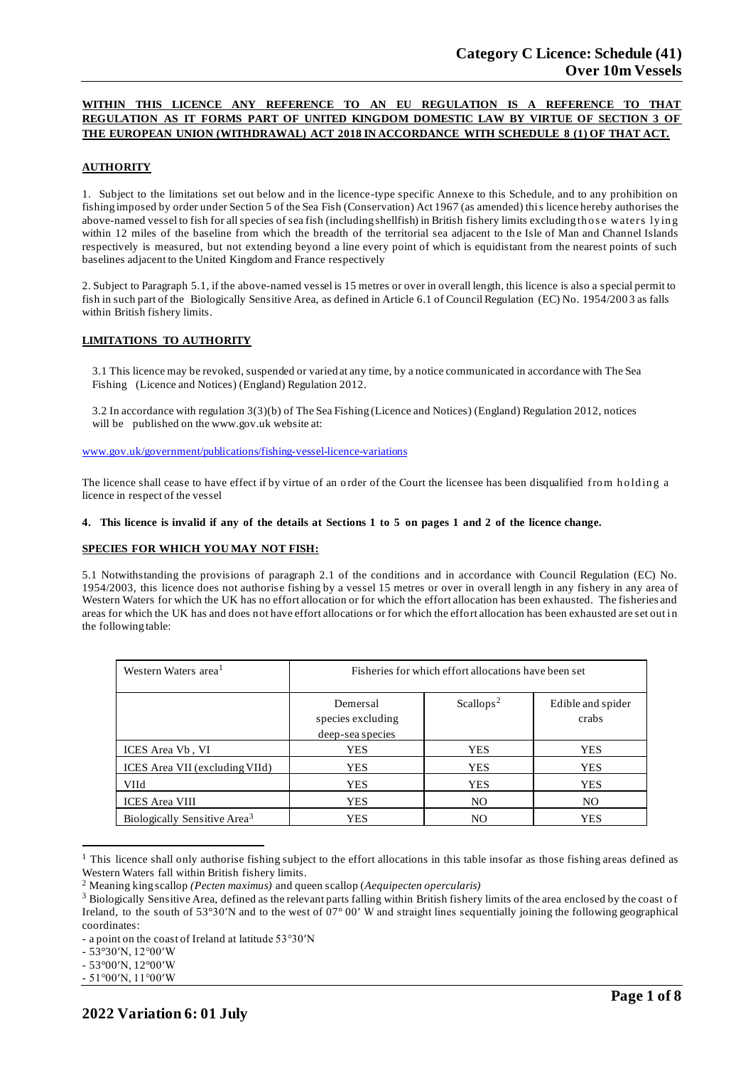# **WITHIN THIS LICENCE ANY REFERENCE TO AN EU REGULATION IS A REFERENCE TO THAT REGULATION AS IT FORMS PART OF UNITED KINGDOM DOMESTIC LAW BY VIRTUE OF SECTION 3 OF THE EUROPEAN UNION (WITHDRAWAL) ACT 2018 IN ACCORDANCE WITH SCHEDULE 8 (1) OF THAT ACT.**

## **AUTHORITY**

1. Subject to the limitations set out below and in the licence-type specific Annexe to this Schedule, and to any prohibition on fishing imposed by order under Section 5 of the Sea Fish (Conservation) Act 1967 (as amended) this licence hereby authorises the above-named vessel to fish for all species of sea fish (including shellfish) in British fishery limits excluding those waters lying within 12 miles of the baseline from which the breadth of the territorial sea adjacent to the Isle of Man and Channel Islands respectively is measured, but not extending beyond a line every point of which is equidistant from the nearest points of such baselines adjacent to the United Kingdom and France respectively

2. Subject to Paragraph 5.1, if the above-named vessel is 15 metres or over in overall length, this licence is also a special permit to fish in such part of the Biologically Sensitive Area, as defined in Article 6.1 of Council Regulation (EC) No. 1954/200 3 as falls within British fishery limits.

## **LIMITATIONS TO AUTHORITY**

3.1 This licence may be revoked, suspended or varied at any time, by a notice communicated in accordance with The Sea Fishing (Licence and Notices) (England) Regulation 2012.

3.2 In accordance with regulation 3(3)(b) of The Sea Fishing (Licence and Notices) (England) Regulation 2012, notices will be published on the [www.gov.uk](http://www.gov.uk/) website at:

[www.gov.uk/government/publications/fishing-vessel-licence-variations](http://www.gov.uk/government/publications/fishing-vessel-licence-variations)

The licence shall cease to have effect if by virtue of an order of the Court the licensee has been disqualified from holding a licence in respect of the vessel

### 4. This licence is invalid if any of the details at Sections 1 to 5 on pages 1 and 2 of the licence change.

## **SPECIES FOR WHICH YOU MAY NOT FISH:**

5.1 Notwithstanding the provisions of paragraph 2.1 of the conditions and in accordance with Council Regulation (EC) No. 1954/2003, this licence does not authoris e fishing by a vessel 15 metres or over in overall length in any fishery in any area of Western Waters for which the UK has no effort allocation or for which the effort allocation has been exhausted. The fisheries and areas for which the UK has and does not have effort allocations or for which the effort allocation has been exhausted are set out in the following table:

| Western Waters area <sup>1</sup>         | Fisheries for which effort allocations have been set |                       |                            |
|------------------------------------------|------------------------------------------------------|-----------------------|----------------------------|
|                                          | Demersal<br>species excluding<br>deep-sea species    | Scallops <sup>2</sup> | Edible and spider<br>crabs |
| ICES Area Vb, VI                         | YES                                                  | <b>YES</b>            | YES                        |
| ICES Area VII (excluding VIId)           | YES                                                  | <b>YES</b>            | YES                        |
| <b>VIId</b>                              | <b>YES</b>                                           | <b>YES</b>            | <b>YES</b>                 |
| <b>ICES</b> Area VIII                    | <b>YES</b>                                           | N <sub>O</sub>        | N <sub>O</sub>             |
| Biologically Sensitive Area <sup>3</sup> | YES                                                  | NO.                   | <b>YES</b>                 |

 $<sup>1</sup>$  This licence shall only authorise fishing subject to the effort allocations in this table insofar as those fishing areas defined as</sup> Western Waters fall within British fishery limits.

<sup>2</sup> Meaning king scallop *(Pecten maximus)* and queen scallop (*Aequipecten opercularis)*

<sup>&</sup>lt;sup>3</sup> Biologically Sensitive Area, defined as the relevant parts falling within British fishery limits of the area enclosed by the coast of Ireland, to the south of 53°30′N and to the west of 07° 00′ W and straight lines sequentially joining the following geographical coordinates:

<sup>-</sup> a point on the coast of Ireland at latitude 53°30′N

<sup>-</sup> 53°30′N, 12°00′W

<sup>-</sup> 53°00′N, 12°00′W

<sup>-</sup> 51°00′N, 11°00′W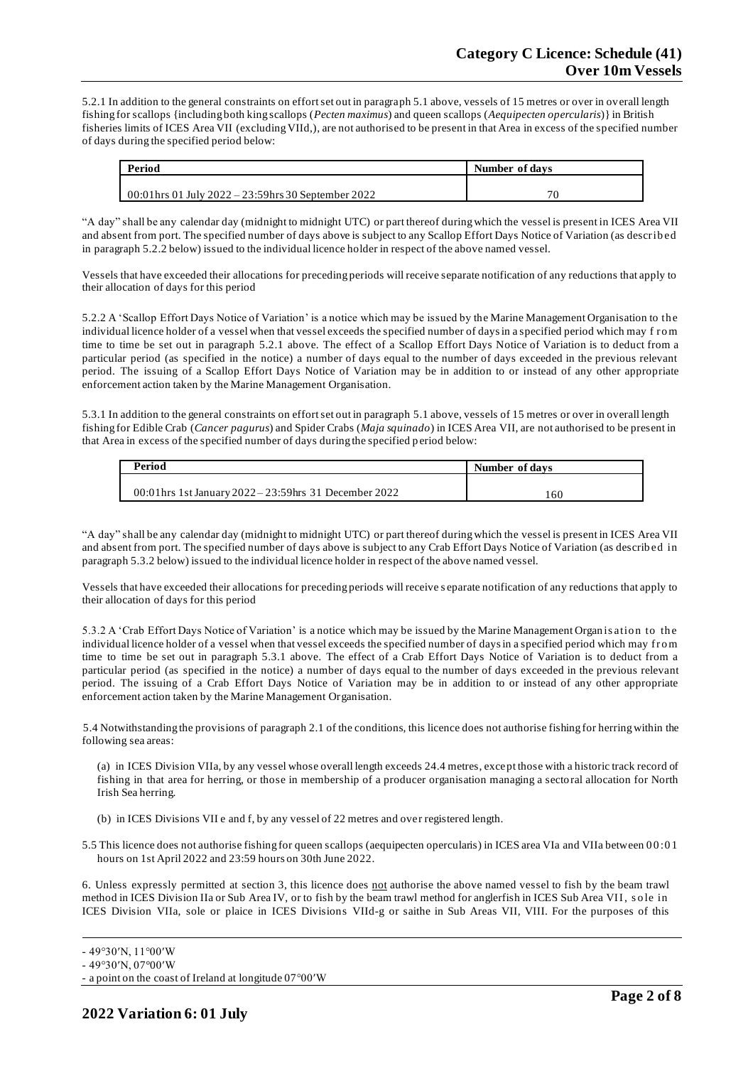5.2.1 In addition to the general constraints on effort set out in paragraph 5.1 above, vessels of 15 metres or over in overall length fishing for scallops {including both king scallops (*Pecten maximus*) and queen scallops (*Aequipecten opercularis*)} in British fisheries limits of ICES Area VII (excluding VIId,), are not authorised to be present in that Area in excess of the specified number of days during the specified period below:

| Period                                               | Number of days |  |
|------------------------------------------------------|----------------|--|
|                                                      |                |  |
| 00:01 hrs 01 July 2022 – 23:59 hrs 30 September 2022 |                |  |

"A day" shall be any calendar day (midnight to midnight UTC) or part thereof during which the vessel is present in ICES Area VII and absent from port. The specified number of days above is subject to any Scallop Effort Days Notice of Variation (as describ ed in paragraph 5.2.2 below) issued to the individual licence holder in respect of the above named vessel.

Vessels that have exceeded their allocations for preceding periods will receive separate notification of any reductions that apply to their allocation of days for this period

5.2.2 A 'Scallop Effort Days Notice of Variation' is a notice which may be issued by the Marine Management Organisation to th e individual licence holder of a vessel when that vessel exceeds the specified number of days in a specified period which may f ro m time to time be set out in paragraph 5.2.1 above. The effect of a Scallop Effort Days Notice of Variation is to deduct from a particular period (as specified in the notice) a number of days equal to the number of days exceeded in the previous relevant period. The issuing of a Scallop Effort Days Notice of Variation may be in addition to or instead of any other appropriate enforcement action taken by the Marine Management Organisation.

5.3.1 In addition to the general constraints on effort set out in paragraph 5.1 above, vessels of 15 metres or over in overall length fishing for Edible Crab (*Cancer pagurus*) and Spider Crabs (*Maja squinado*) in ICES Area VII, are not authorised to be present in that Area in excess of the specified number of days during the specified period below:

| Period                                                | Number of days |  |
|-------------------------------------------------------|----------------|--|
| 00:01hrs 1st January 2022 – 23:59hrs 31 December 2022 | 160            |  |

"A day" shall be any calendar day (midnight to midnight UTC) or part thereof during which the vessel is present in ICES Area VII and absent from port. The specified number of days above is subject to any Crab Effort Days Notice of Variation (as describ ed in paragraph 5.3.2 below) issued to the individual licence holder in respect of the above named vessel.

Vessels that have exceeded their allocations for preceding periods will receive s eparate notification of any reductions that apply to their allocation of days for this period

5.3.2 A 'Crab Effort Days Notice of Variation' is a notice which may be issued by the Marine Management Organ is atio n to th e individual licence holder of a vessel when that vessel exceeds the specified number of days in a specified period which may fro m time to time be set out in paragraph 5.3.1 above. The effect of a Crab Effort Days Notice of Variation is to deduct from a particular period (as specified in the notice) a number of days equal to the number of days exceeded in the previous relevant period. The issuing of a Crab Effort Days Notice of Variation may be in addition to or instead of any other appropriate enforcement action taken by the Marine Management Organisation.

5.4 Notwithstanding the provisions of paragraph 2.1 of the conditions, this licence does not authorise fishing for herring within the following sea areas:

(a) in ICES Division VIIa, by any vessel whose overall length exceeds 24.4 metres, except those with a historic track record of fishing in that area for herring, or those in membership of a producer organisation managing a sectoral allocation for North Irish Sea herring.

(b) in ICES Divisions VII e and f, by any vessel of 22 metres and over registered length.

5.5 This licence does not authorise fishing for queen scallops (aequipecten opercularis) in ICES area VIa and VIIa between 0 0 :0 1 hours on 1st April 2022 and 23:59 hours on 30th June 2022.

6. Unless expressly permitted at section 3, this licence does not authorise the above named vessel to fish by the beam trawl method in ICES Division IIa or Sub Area IV, or to fish by the beam trawl method for anglerfish in ICES Sub Area VII, so le in ICES Division VIIa, sole or plaice in ICES Divisions VIId-g or saithe in Sub Areas VII, VIII. For the purposes of this

<sup>-</sup> 49°30′N, 11°00′W

<sup>-</sup> 49°30′N, 07°00′W

<sup>-</sup> a point on the coast of Ireland at longitude 07°00′W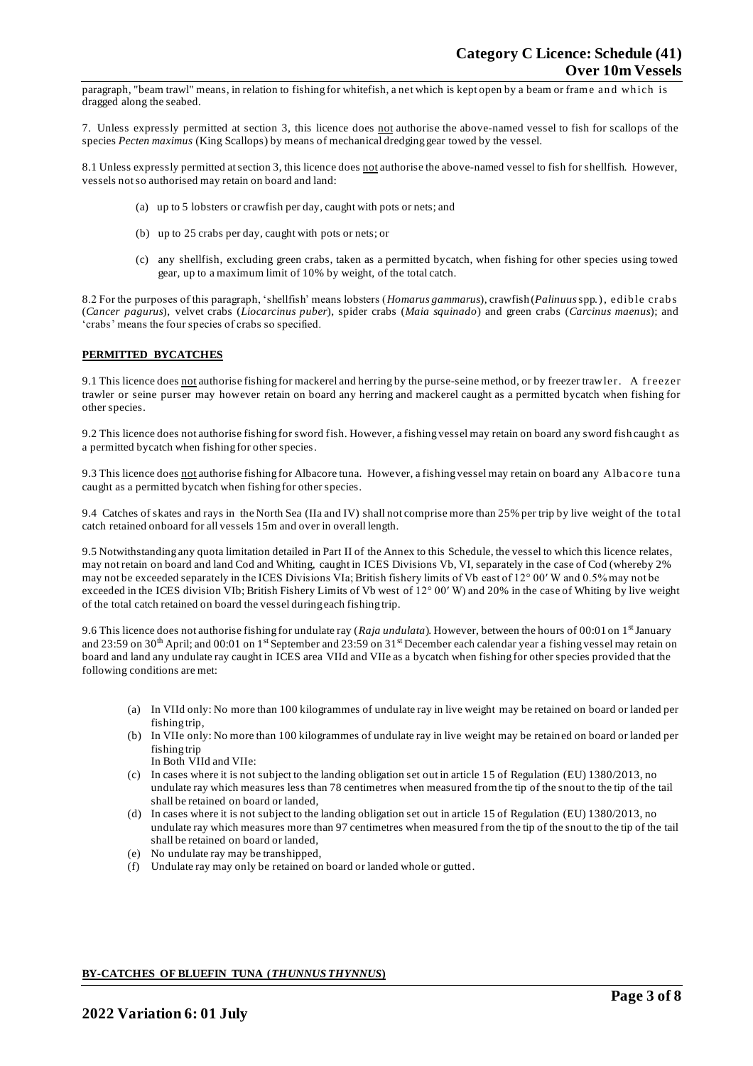paragraph, "beam trawl" means, in relation to fishing for whitefish, a net which is kept open by a beam or frame and which is dragged along the seabed.

7. Unless expressly permitted at section 3, this licence does not authorise the above-named vessel to fish for scallops of the species *Pecten maximus* (King Scallops) by means of mechanical dredging gear towed by the vessel.

8.1 Unless expressly permitted at section 3, this licence does not authorise the above-named vessel to fish for shellfish. However, vessels not so authorised may retain on board and land:

- (a) up to 5 lobsters or crawfish per day, caught with pots or nets; and
- (b) up to 25 crabs per day, caught with pots or nets; or
- (c) any shellfish, excluding green crabs, taken as a permitted bycatch, when fishing for other species using towed gear, up to a maximum limit of 10% by weight, of the total catch.

8.2 For the purposes of this paragraph, 'shellfish' means lobsters (*Homarus gammarus*), crawfish (*Palinuus* spp.), ed ib le crab s (*Cancer pagurus*), velvet crabs (*Liocarcinus puber*), spider crabs (*Maia squinado*) and green crabs (*Carcinus maenus*); and 'crabs' means the four species of crabs so specified.

### **PERMITTED BYCATCHES**

9.1 This licence does not authorise fishing for mackerel and herring by the purse-seine method, or by freezer trawler. A freezer trawler or seine purser may however retain on board any herring and mackerel caught as a permitted bycatch when fishing for other species.

9.2 This licence does not authorise fishing for sword fish. However, a fishing vessel may retain on board any sword fish caught as a permitted bycatch when fishing for other species.

9.3 This licence does not authorise fishing for Albacore tuna. However, a fishing vessel may retain on board any Albacore tuna caught as a permitted bycatch when fishing for other species.

9.4 Catches of skates and rays in the North Sea (IIa and IV) shall not comprise more than 25% per trip by live weight of the to tal catch retained onboard for all vessels 15m and over in overall length.

9.5 Notwithstanding any quota limitation detailed in Part II of the Annex to this Schedule, the vessel to which this licence relates, may not retain on board and land Cod and Whiting, caught in ICES Divisions Vb, VI, separately in the case of Cod (whereby 2% may not be exceeded separately in the ICES Divisions VIa; British fishery limits of Vb east of 12° 00′ W and 0.5% may not be exceeded in the ICES division VIb; British Fishery Limits of Vb west of 12° 00′ W) and 20% in the case of Whiting by live weight of the total catch retained on board the vessel during each fishing trip.

9.6 This licence does not authorise fishing for undulate ray (Raja undulata). However, between the hours of 00:01 on 1<sup>st</sup> January and 23:59 on 30<sup>th</sup> April; and 00:01 on 1<sup>st</sup> September and 23:59 on 31<sup>st</sup> December each calendar year a fishing vessel may retain on board and land any undulate ray caught in ICES area VIId and VIIe as a bycatch when fishing for other species provided that the following conditions are met:

- (a) In VIId only: No more than 100 kilogrammes of undulate ray in live weight may be retained on board or landed per fishing trip,
- (b) In VIIe only: No more than 100 kilogrammes of undulate ray in live weight may be retained on board or landed per fishing trip In Both VIId and VIIe:
- (c) In cases where it is not subject to the landing obligation set out in article 15 of Regulation (EU) 1380/2013, no undulate ray which measures less than 78 centimetres when measured from the tip of the snout to the tip of the tail shall be retained on board or landed,
- (d) In cases where it is not subject to the landing obligation set out in article 15 of Regulation (EU) 1380/2013, no undulate ray which measures more than 97 centimetres when measured from the tip of the snout to the tip of the tail shall be retained on board or landed,
- (e) No undulate ray may be transhipped,
- (f) Undulate ray may only be retained on board or landed whole or gutted.

## **BY-CATCHES OF BLUEFIN TUNA (***THUNNUS THYNNUS***)**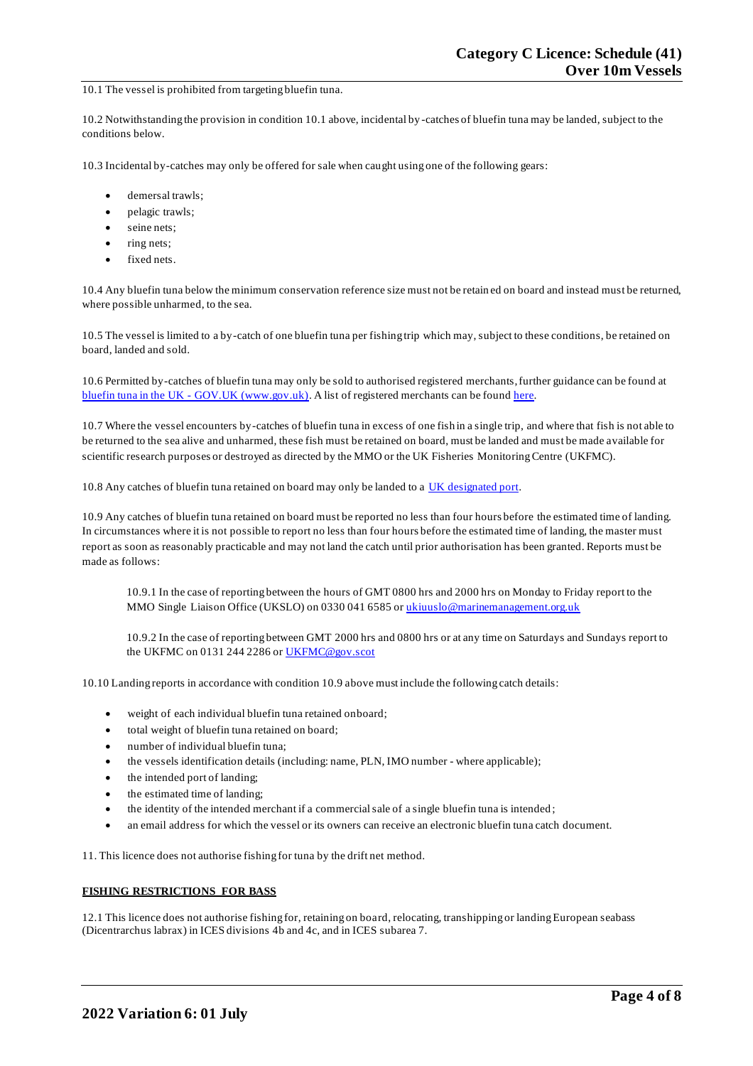### 10.1 The vessel is prohibited from targeting bluefin tuna.

10.2 Notwithstanding the provision in condition 10.1 above, incidental by -catches of bluefin tuna may be landed, subject to the conditions below.

10.3 Incidental by-catches may only be offered for sale when caught using one of the following gears:

- demersal trawls:
- pelagic trawls;
- seine nets;
- ring nets;
- fixed nets.

10.4 Any bluefin tuna below the minimum conservation reference size must not be retain ed on board and instead must be returned, where possible unharmed, to the sea.

10.5 The vessel is limited to a by-catch of one bluefin tuna per fishing trip which may, subject to these conditions, be retained on board, landed and sold.

10.6 Permitted by-catches of bluefin tuna may only be sold to authorised registered merchants, further guidance can be found at bluefin tuna in the UK - [GOV.UK \(www.gov.uk\).](https://www.gov.uk/guidance/bluefin-tuna-in-the-uk) A list of registered merchants can be foun[d here.](https://www.gov.uk/government/publications/bluefin-tuna-traders/registered-bluefin-tuna-traders)

10.7 Where the vessel encounters by-catches of bluefin tuna in excess of one fish in a single trip, and where that fish is not able to be returned to the sea alive and unharmed, these fish must be retained on board, must be landed and must be made available for scientific research purposes or destroyed as directed by the MMO or the UK Fisheries Monitoring Centre (UKFMC).

10.8 Any catches of bluefin tuna retained on board may only be landed to a [UK designated port.](https://www.gov.uk/government/publications/designated-ports/designated-ports-for-uk-flagged-vessels-landing-bluefin-tuna)

10.9 Any catches of bluefin tuna retained on board must be reported no less than four hours before the estimated time of landing. In circumstances where it is not possible to report no less than four hours before the estimated time of landing, the master must report as soon as reasonably practicable and may not land the catch until prior authorisation has been granted. Reports must be made as follows:

10.9.1 In the case of reporting between the hours of GMT 0800 hrs and 2000 hrs on Monday to Friday report to the MMO Single Liaison Office (UKSLO) on 0330 041 6585 o[r ukiuuslo@marinemanagement.org.uk](mailto:ukiuuslo@marinemanagement.org.uk)

10.9.2 In the case of reporting between GMT 2000 hrs and 0800 hrs or at any time on Saturdays and Sundays report to the UKFMC on 0131 244 2286 o[r UKFMC@gov.scot](mailto:UKFMC@gov.scot)

10.10 Landing reports in accordance with condition 10.9 above must include the following catch details:

- weight of each individual bluefin tuna retained onboard;
- total weight of bluefin tuna retained on board;
- number of individual bluefin tuna;
- the vessels identification details (including: name, PLN, IMO number where applicable);
- the intended port of landing;
- the estimated time of landing;
- the identity of the intended merchant if a commercial sale of a single bluefin tuna is intended ;
- an email address for which the vessel or its owners can receive an electronic bluefin tuna catch document.

11. This licence does not authorise fishing for tuna by the drift net method.

## **FISHING RESTRICTIONS FOR BASS**

12.1 This licence does not authorise fishing for, retaining on board, relocating, transhipping or landing European seabass (Dicentrarchus labrax) in ICES divisions 4b and 4c, and in ICES subarea 7.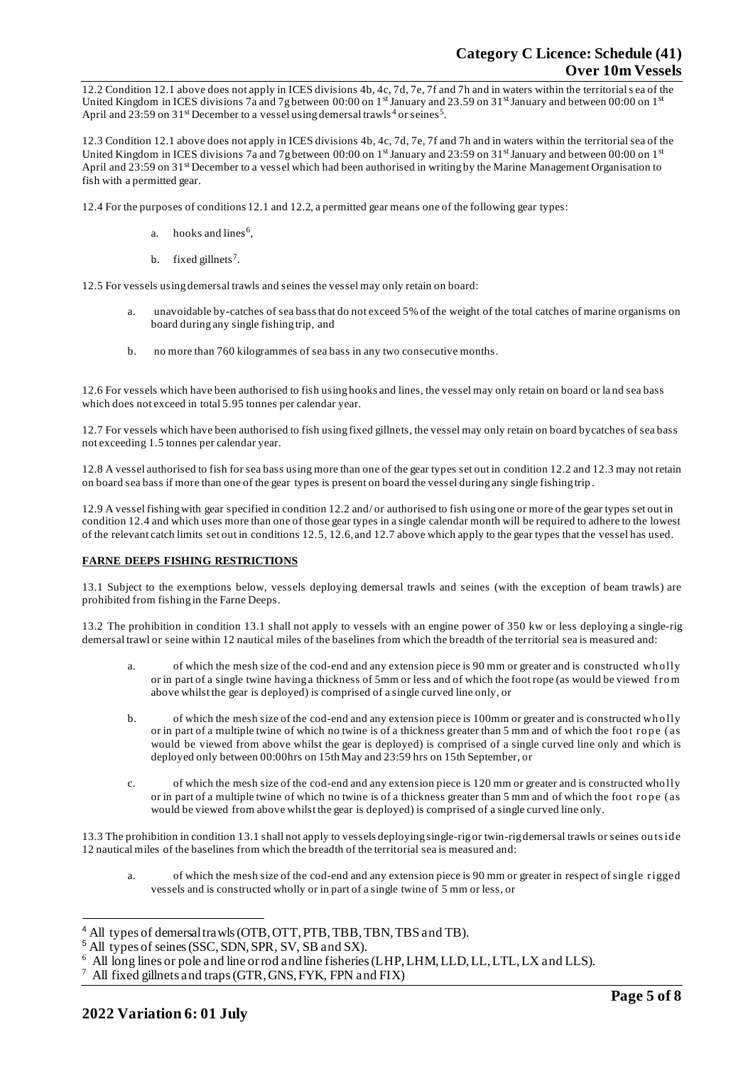12.2 Condition 12.1 above does not apply in ICES divisions 4b, 4c, 7d, 7e, 7f and 7h and in waters within the territorial s ea of the United Kingdom in ICES divisions 7a and 7g between 00:00 on  $1<sup>st</sup>$  January and 23.59 on 31st January and between 00:00 on  $1<sup>st</sup>$ April and 23:59 on 31<sup>st</sup> December to a vessel using demersal trawls<sup>4</sup> or seines<sup>5</sup>.

12.3 Condition 12.1 above does not apply in ICES divisions 4b, 4c, 7d, 7e, 7f and 7h and in waters within the territorial sea of the United Kingdom in ICES divisions 7a and 7g between 00:00 on  $1<sup>st</sup>$  January and 23:59 on 31<sup>st</sup> January and between 00:00 on  $1<sup>st</sup>$ April and 23:59 on 31<sup>st</sup> December to a vessel which had been authorised in writing by the Marine Management Organisation to fish with a permitted gear.

12.4 For the purposes of conditions 12.1 and 12.2, a permitted gear means one of the following gear types:

- a. hooks and lines<sup>6</sup>,
- b. fixed gillnets<sup>7</sup>.

12.5 For vessels using demersal trawls and seines the vessel may only retain on board:

- a. unavoidable by-catches of sea bass that do not exceed 5% of the weight of the total catches of marine organisms on board during any single fishing trip, and
- b. no more than 760 kilogrammes of sea bass in any two consecutive months.

12.6 For vessels which have been authorised to fish using hooks and lines, the vessel may only retain on board or la nd sea bass which does not exceed in total 5.95 tonnes per calendar year.

12.7 For vessels which have been authorised to fish using fixed gillnets, the vessel may only retain on board bycatches of sea bass not exceeding 1.5 tonnes per calendar year.

12.8 A vessel authorised to fish for sea bass using more than one of the gear types set out in condition 12.2 and 12.3 may not retain on board sea bass if more than one of the gear types is present on board the vessel during any single fishing trip .

12.9 A vessel fishing with gear specified in condition 12.2 and/ or authorised to fish using one or more of the gear types set out in condition 12.4 and which uses more than one of those gear types in a single calendar month will be required to adhere to the lowest of the relevant catch limits set out in conditions 12.5, 12.6, and 12.7 above which apply to the gear types that the vessel has used.

## **FARNE DEEPS FISHING RESTRICTIONS**

13.1 Subject to the exemptions below, vessels deploying demersal trawls and seines (with the exception of beam trawls) are prohibited from fishing in the Farne Deeps.

13.2 The prohibition in condition 13.1 shall not apply to vessels with an engine power of 350 kw or less deploying a single-rig demersal trawl or seine within 12 nautical miles of the baselines from which the breadth of the territorial sea is measured and:

- a. of which the mesh size of the cod-end and any extension piece is 90 mm or greater and is constructed who lly or in part of a single twine having a thickness of 5mm or less and of which the foot rope (as would be viewed fro m above whilst the gear is deployed) is comprised of a single curved line only, or
- b. of which the mesh size of the cod-end and any extension piece is 100mm or greater and is constructed who lly or in part of a multiple twine of which no twine is of a thickness greater than 5 mm and of which the foot rope (as would be viewed from above whilst the gear is deployed) is comprised of a single curved line only and which is deployed only between 00:00hrs on 15th May and 23:59 hrs on 15th September, or
- c. of which the mesh size of the cod-end and any extension piece is 120 mm or greater and is constructed who lly or in part of a multiple twine of which no twine is of a thickness greater than 5 mm and of which the foot rope (as would be viewed from above whilst the gear is deployed) is comprised of a single curved line only.

13.3 The prohibition in condition 13.1 shall not apply to vessels deploying single-rig or twin-rig demersal trawls or seines ou ts id e 12 nautical miles of the baselines from which the breadth of the territorial sea is measured and:

a. of which the mesh size of the cod-end and any extension piece is 90 mm or greater in respect of sin gle rigged vessels and is constructed wholly or in part of a single twine of 5 mm or less, or

<sup>4</sup> All types of demersal trawls (OTB, OTT, PTB, TBB, TBN, TBS and TB).

<sup>5</sup> All types of seines (SSC, SDN, SPR, SV, SB and SX).

<sup>&</sup>lt;sup>6</sup> All long lines or pole and line or rod and line fisheries (LHP, LHM, LLD, LL, LTL, LX and LLS).

<sup>7</sup> All fixed gillnets and traps (GTR, GNS, FYK, FPN and FIX)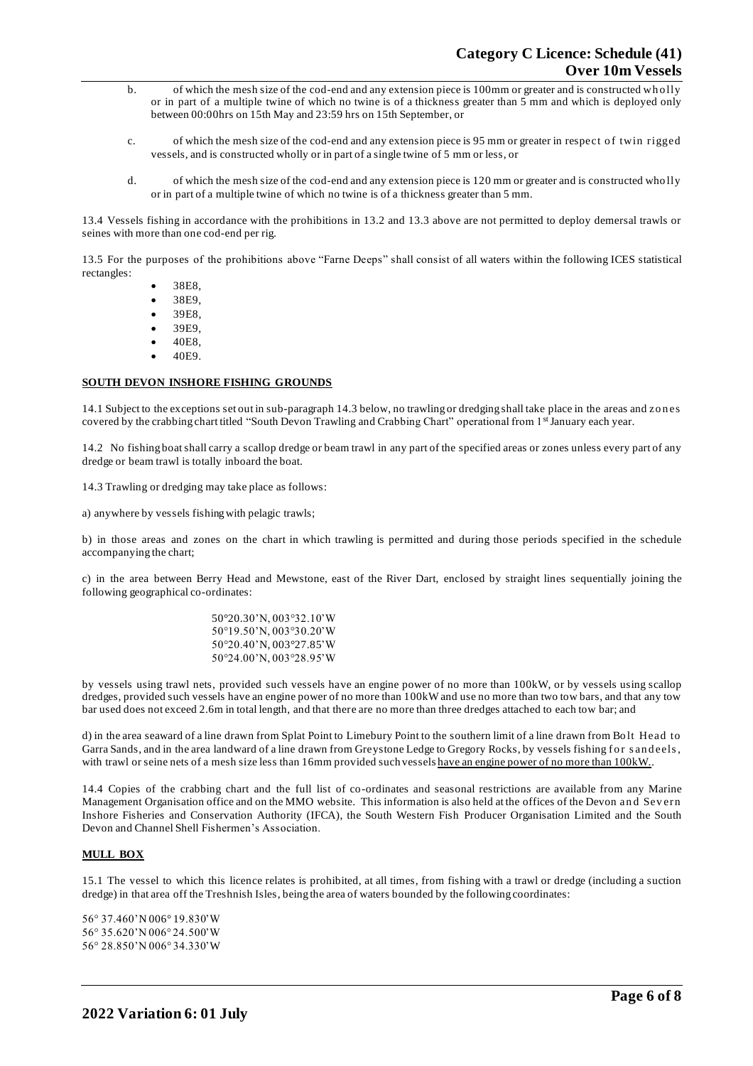- b. of which the mesh size of the cod-end and any extension piece is 100mm or greater and is constructed who lly or in part of a multiple twine of which no twine is of a thickness greater than 5 mm and which is deployed only between 00:00hrs on 15th May and 23:59 hrs on 15th September, or
- c. of which the mesh size of the cod-end and any extension piece is 95 mm or greater in respect o f twin rigged vessels, and is constructed wholly or in part of a single twine of 5 mm or less, or
- d. of which the mesh size of the cod-end and any extension piece is 120 mm or greater and is constructed who lly or in part of a multiple twine of which no twine is of a thickness greater than 5 mm.

13.4 Vessels fishing in accordance with the prohibitions in 13.2 and 13.3 above are not permitted to deploy demersal trawls or seines with more than one cod-end per rig.

13.5 For the purposes of the prohibitions above "Farne Deeps" shall consist of all waters within the following ICES statistical rectangles:

- 38E8,
- 38E9,
- 39E8,
- 39E9,
- 40E8,
- 40E9.

## **SOUTH DEVON INSHORE FISHING GROUNDS**

14.1 Subject to the exceptions set out in sub-paragraph 14.3 below, no trawling or dredging shall take place in the areas and zones covered by the crabbing chart titled "South Devon Trawling and Crabbing Chart" operational from 1st January each year.

14.2 No fishing boat shall carry a scallop dredge or beam trawl in any part of the specified areas or zones unless every part of any dredge or beam trawl is totally inboard the boat.

14.3 Trawling or dredging may take place as follows:

a) anywhere by vessels fishing with pelagic trawls;

b) in those areas and zones on the chart in which trawling is permitted and during those periods specified in the schedule accompanying the chart;

c) in the area between Berry Head and Mewstone, east of the River Dart, enclosed by straight lines sequentially joining the following geographical co-ordinates:

> 50°20.30'N, 003°32.10'W 50°19.50'N, 003°30.20'W 50°20.40'N, 003°27.85'W 50°24.00'N, 003°28.95'W

by vessels using trawl nets, provided such vessels have an engine power of no more than 100kW, or by vessels using scallop dredges, provided such vessels have an engine power of no more than 100kW and use no more than two tow bars, and that any tow bar used does not exceed 2.6m in total length, and that there are no more than three dredges attached to each tow bar; and

d) in the area seaward of a line drawn from Splat Point to Limebury Point to the southern limit of a line drawn from Bo lt Head to Garra Sands, and in the area landward of a line drawn from Greystone Ledge to Gregory Rocks, by vessels fishing for sandeels, with trawl or seine nets of a mesh size less than 16mm provided such vessels have an engine power of no more than 100kW.

14.4 Copies of the crabbing chart and the full list of co-ordinates and seasonal restrictions are available from any Marine Management Organisation office and on the MMO website. This information is also held at the offices of the Devon an d Sev ern Inshore Fisheries and Conservation Authority (IFCA), the South Western Fish Producer Organisation Limited and the South Devon and Channel Shell Fishermen's Association.

# **MULL BOX**

15.1 The vessel to which this licence relates is prohibited, at all times, from fishing with a trawl or dredge (including a suction dredge) in that area off the Treshnish Isles, being the area of waters bounded by the following coordinates:

56° 37.460'N 006° 19.830'W 56° 35.620'N 006° 24.500'W 56° 28.850'N 006° 34.330'W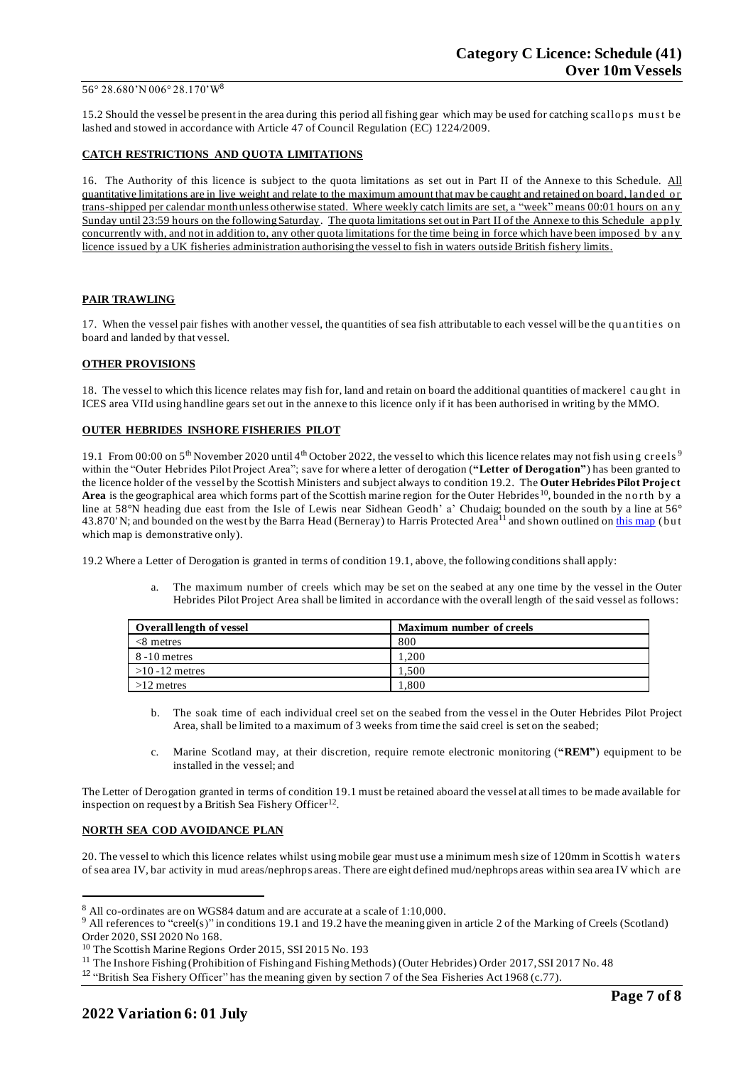#### 56° 28.680'N 006° 28.170'W<sup>8</sup>

15.2 Should the vessel be present in the area during this period all fishing gear which may be used for catching scallops must be lashed and stowed in accordance with Article 47 of Council Regulation (EC) 1224/2009.

### **CATCH RESTRICTIONS AND QUOTA LIMITATIONS**

16. The Authority of this licence is subject to the quota limitations as set out in Part II of the Annexe to this Schedule. All quantitative limitations are in live weight and relate to the maximum amount that may be caught and retained on board, landed or trans-shipped per calendar month unless otherwise stated. Where weekly catch limits are set, a "week" means 00:01 hours on an y Sunday until 23:59 hours on the following Saturday. The quota limitations set out in Part II of the Annexe to this Schedule apply concurrently with, and not in addition to, any other quota limitations for the time being in force which have been imposed b y an y licence issued by a UK fisheries administration authorising the vessel to fish in waters outside British fishery limits.

## **PAIR TRAWLING**

17. When the vessel pair fishes with another vessel, the quantities of sea fish attributable to each vessel will be the quantities on board and landed by that vessel.

### **OTHER PROVISIONS**

18. The vessel to which this licence relates may fish for, land and retain on board the additional quantities of mackerel caught in ICES area VIId using handline gears set out in the annexe to this licence only if it has been authorised in writing by the MMO.

### **OUTER HEBRIDES INSHORE FISHERIES PILOT**

19.1 From 00:00 on  $5<sup>th</sup>$  November 2020 until 4<sup>th</sup> October 2022, the vessel to which this licence relates may not fish using creels<sup>9</sup> within the "Outer Hebrides Pilot Project Area"; save for where a letter of derogation (**"Letter of Derogation"**) has been granted to the licence holder of the vessel by the Scottish Ministers and subject always to condition 19.2. The **Outer Hebrides Pilot Project**  Area is the geographical area which forms part of the Scottish marine region for the Outer Hebrides<sup>10</sup>, bounded in the n orth by a line at 58°N heading due east from the Isle of Lewis near Sidhean Geodh' a' Chudaig; bounded on the south by a line at 56° 43.870' N; and bounded on the west by the Barra Head (Berneray) to Harris Protected Area<sup>11</sup> and shown outlined on [this map](https://www.gov.scot/publications/outer-hebrides-inshore-fisheries-pilot-area) (but which map is demonstrative only).

19.2 Where a Letter of Derogation is granted in terms of condition 19.1, above, the following conditions shall apply:

a. The maximum number of creels which may be set on the seabed at any one time by the vessel in the Outer Hebrides Pilot Project Area shall be limited in accordance with the overall length of the said vessel as follows:

| <b>Overall length of vessel</b> | <b>Maximum number of creels</b> |
|---------------------------------|---------------------------------|
| $<8$ metres                     | 800                             |
| 8 - 10 metres                   | 200                             |
| $>10 - 12$ metres               | .500                            |
| $>12$ metres                    | $.800\,$                        |

- b. The soak time of each individual creel set on the seabed from the vess el in the Outer Hebrides Pilot Project Area, shall be limited to a maximum of 3 weeks from time the said creel is set on the seabed;
- c. Marine Scotland may, at their discretion, require remote electronic monitoring (**"REM"**) equipment to be installed in the vessel; and

The Letter of Derogation granted in terms of condition 19.1 must be retained aboard the vessel at all times to be made available for inspection on request by a British Sea Fishery Officer<sup>12</sup>.

#### **NORTH SEA COD AVOIDANCE PLAN**

20. The vessel to which this licence relates whilst using mobile gear must use a minimum mesh size of 120mm in Scottis h waters of sea area IV, bar activity in mud areas/nephrops areas. There are eight defined mud/nephrops areas within sea area IV which are

<sup>8</sup> All co-ordinates are on WGS84 datum and are accurate at a scale of 1:10,000.

<sup>&</sup>lt;sup>9</sup> All references to "creel(s)" in conditions 19.1 and 19.2 have the meaning given in article 2 of the Marking of Creels (Scotland) Order 2020, SSI 2020 No 168.

<sup>&</sup>lt;sup>10</sup> The Scottish Marine Regions Order 2015, SSI 2015 No. 193

<sup>&</sup>lt;sup>11</sup> The Inshore Fishing (Prohibition of Fishing and Fishing Methods) (Outer Hebrides) Order 2017, SSI 2017 No. 48

<sup>&</sup>lt;sup>12</sup> "British Sea Fishery Officer" has the meaning given by section 7 of the Sea Fisheries Act 1968 (c.77).